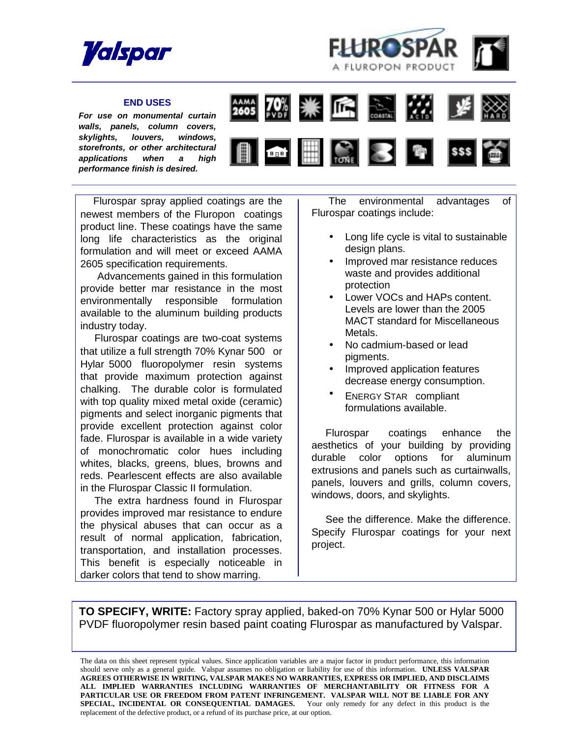



## **END USES**

*For use on monumental curtain walls, panels, column covers, skylights, louvers, windows, storefronts, or other architectural applications when a high performance finish is desired.* 



 Flurospar spray applied coatings are the newest members of the Fluropon<sup>®</sup> coatings product line. These coatings have the same long life characteristics as the original formulation and will meet or exceed AAMA 2605 specification requirements.

 Advancements gained in this formulation provide better mar resistance in the most environmentally responsible formulation available to the aluminum building products industry today.

 Flurospar coatings are two-coat systems that utilize a full strength 70% Kynar  $500^{\circ}$  or Hylar 5000<sup>®</sup> fluoropolymer resin systems that provide maximum protection against chalking. The durable color is formulated with top quality mixed metal oxide (ceramic) pigments and select inorganic pigments that provide excellent protection against color fade. Flurospar is available in a wide variety of monochromatic color hues including whites, blacks, greens, blues, browns and reds. Pearlescent effects are also available in the Flurospar Classic II formulation.

 The extra hardness found in Flurospar provides improved mar resistance to endure the physical abuses that can occur as a result of normal application, fabrication, transportation, and installation processes. This benefit is especially noticeable in darker colors that tend to show marring.

 The environmental advantages of Flurospar coatings include:

- Long life cycle is vital to sustainable design plans.
- Improved mar resistance reduces waste and provides additional protection
- Lower VOCs and HAPs content. Levels are lower than the 2005 MACT standard for Miscellaneous Metals.
- No cadmium-based or lead pigments.
- Improved application features decrease energy consumption.
- ENERGY STAR<sup>®</sup> compliant formulations available.

Flurospar $\infty$  coatings enhance the aesthetics of your building by providing durable color options for aluminum extrusions and panels such as curtainwalls, panels, louvers and grills, column covers, windows, doors, and skylights.

 See the difference. Make the difference. Specify Flurospar coatings for your next project.

**TO SPECIFY, WRITE:** Factory spray applied, baked-on 70% Kynar 500 or Hylar 5000 PVDF fluoropolymer resin based paint coating Flurospar as manufactured by Valspar.

The data on this sheet represent typical values. Since application variables are a major factor in product performance, this information should serve only as a general guide. Valspar assumes no obligation or liability for use of this information. **UNLESS VALSPAR AGREES OTHERWISE IN WRITING, VALSPAR MAKES NO WARRANTIES, EXPRESS OR IMPLIED, AND DISCLAIMS ALL IMPLIED WARRANTIES INCLUDING WARRANTIES OF MERCHANTABILITY OR FITNESS FOR A PARTICULAR USE OR FREEDOM FROM PATENT INFRINGEMENT. VALSPAR WILL NOT BE LIABLE FOR ANY SPECIAL, INCIDENTAL OR CONSEQUENTIAL DAMAGES.** Your only remedy for any defect in this product is the replacement of the defective product, or a refund of its purchase price, at our option.